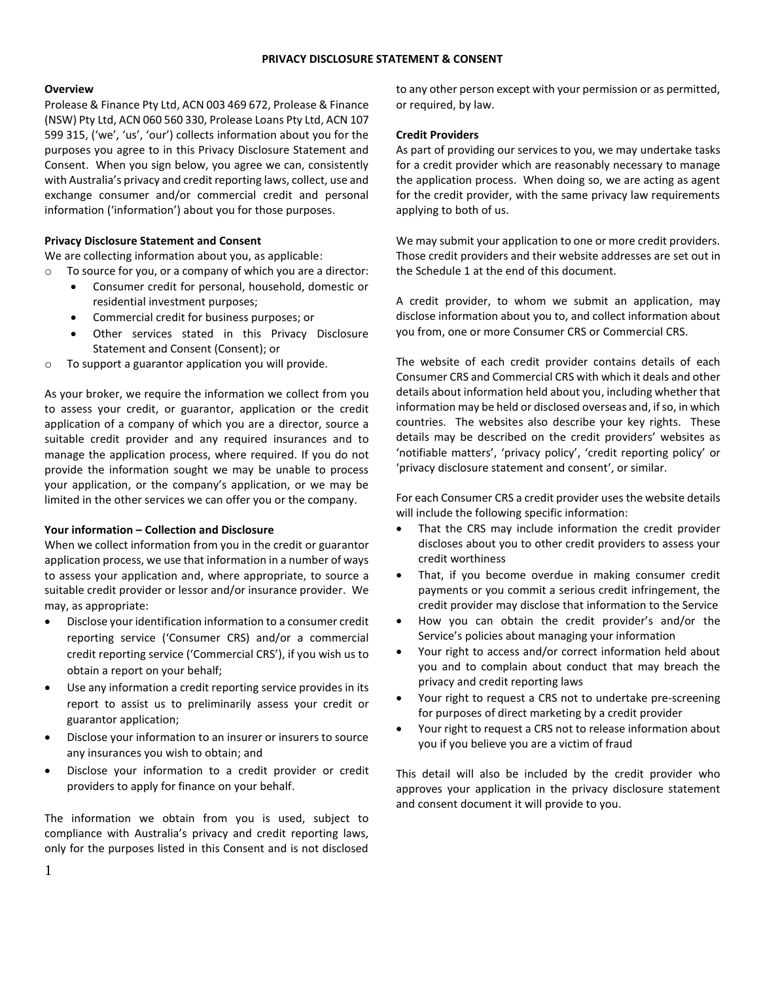### **PRIVACY DISCLOSURE STATEMENT & CONSENT**

#### **Overview**

Prolease & Finance Pty Ltd, ACN 003 469 672, Prolease & Finance (NSW) Pty Ltd, ACN 060 560 330, Prolease Loans Pty Ltd, ACN 107 599 315, ('we', 'us', 'our') collects information about you for the purposes you agree to in this Privacy Disclosure Statement and Consent. When you sign below, you agree we can, consistently with Australia's privacy and credit reporting laws, collect, use and exchange consumer and/or commercial credit and personal information ('information') about you for those purposes.

### **Privacy Disclosure Statement and Consent**

We are collecting information about you, as applicable:

- o To source for you, or a company of which you are a director:
	- Consumer credit for personal, household, domestic or residential investment purposes;
	- Commercial credit for business purposes; or
	- Other services stated in this Privacy Disclosure Statement and Consent (Consent); or
- o To support a guarantor application you will provide.

As your broker, we require the information we collect from you to assess your credit, or guarantor, application or the credit application of a company of which you are a director, source a suitable credit provider and any required insurances and to manage the application process, where required. If you do not provide the information sought we may be unable to process your application, or the company's application, or we may be limited in the other services we can offer you or the company.

### **Your information – Collection and Disclosure**

When we collect information from you in the credit or guarantor application process, we use that information in a number of ways to assess your application and, where appropriate, to source a suitable credit provider or lessor and/or insurance provider. We may, as appropriate:

- Disclose your identification information to a consumer credit reporting service ('Consumer CRS) and/or a commercial credit reporting service ('Commercial CRS'), if you wish us to obtain a report on your behalf;
- Use any information a credit reporting service provides in its report to assist us to preliminarily assess your credit or guarantor application;
- Disclose your information to an insurer or insurers to source any insurances you wish to obtain; and
- Disclose your information to a credit provider or credit providers to apply for finance on your behalf.

The information we obtain from you is used, subject to compliance with Australia's privacy and credit reporting laws, only for the purposes listed in this Consent and is not disclosed to any other person except with your permission or as permitted, or required, by law.

#### **Credit Providers**

As part of providing our services to you, we may undertake tasks for a credit provider which are reasonably necessary to manage the application process. When doing so, we are acting as agent for the credit provider, with the same privacy law requirements applying to both of us.

We may submit your application to one or more credit providers. Those credit providers and their website addresses are set out in the Schedule 1 at the end of this document.

A credit provider, to whom we submit an application, may disclose information about you to, and collect information about you from, one or more Consumer CRS or Commercial CRS.

The website of each credit provider contains details of each Consumer CRS and Commercial CRS with which it deals and other details about information held about you, including whether that information may be held or disclosed overseas and, if so, in which countries. The websites also describe your key rights. These details may be described on the credit providers' websites as 'notifiable matters', 'privacy policy', 'credit reporting policy' or 'privacy disclosure statement and consent', or similar.

For each Consumer CRS a credit provider uses the website details will include the following specific information:

- That the CRS may include information the credit provider discloses about you to other credit providers to assess your credit worthiness
- That, if you become overdue in making consumer credit payments or you commit a serious credit infringement, the credit provider may disclose that information to the Service
- How you can obtain the credit provider's and/or the Service's policies about managing your information
- Your right to access and/or correct information held about you and to complain about conduct that may breach the privacy and credit reporting laws
- Your right to request a CRS not to undertake pre-screening for purposes of direct marketing by a credit provider
- Your right to request a CRS not to release information about you if you believe you are a victim of fraud

This detail will also be included by the credit provider who approves your application in the privacy disclosure statement and consent document it will provide to you.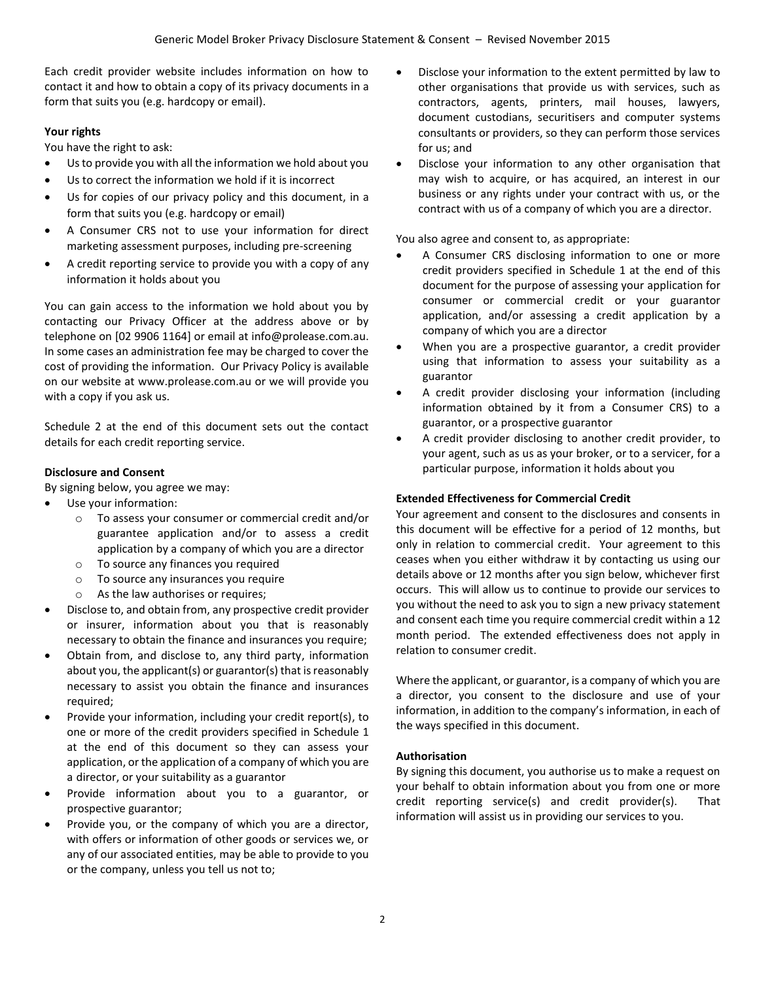Each credit provider website includes information on how to contact it and how to obtain a copy of its privacy documents in a form that suits you (e.g. hardcopy or email).

## **Your rights**

You have the right to ask:

- Us to provide you with all the information we hold about you
- Us to correct the information we hold if it is incorrect
- Us for copies of our privacy policy and this document, in a form that suits you (e.g. hardcopy or email)
- A Consumer CRS not to use your information for direct marketing assessment purposes, including pre-screening
- A credit reporting service to provide you with a copy of any information it holds about you

You can gain access to the information we hold about you by contacting our Privacy Officer at the address above or by telephone on [02 9906 1164] or email at info@prolease.com.au. In some cases an administration fee may be charged to cover the cost of providing the information. Our Privacy Policy is available on our website at www.prolease.com.au or we will provide you with a copy if you ask us.

Schedule 2 at the end of this document sets out the contact details for each credit reporting service.

## **Disclosure and Consent**

By signing below, you agree we may:

- Use your information:
	- o To assess your consumer or commercial credit and/or guarantee application and/or to assess a credit application by a company of which you are a director
	- o To source any finances you required
	- o To source any insurances you require
	- o As the law authorises or requires;
- Disclose to, and obtain from, any prospective credit provider or insurer, information about you that is reasonably necessary to obtain the finance and insurances you require;
- Obtain from, and disclose to, any third party, information about you, the applicant(s) or guarantor(s) that is reasonably necessary to assist you obtain the finance and insurances required;
- Provide your information, including your credit report(s), to one or more of the credit providers specified in Schedule 1 at the end of this document so they can assess your application, or the application of a company of which you are a director, or your suitability as a guarantor
- Provide information about you to a guarantor, or prospective guarantor;
- Provide you, or the company of which you are a director, with offers or information of other goods or services we, or any of our associated entities, may be able to provide to you or the company, unless you tell us not to;
- Disclose your information to the extent permitted by law to other organisations that provide us with services, such as contractors, agents, printers, mail houses, lawyers, document custodians, securitisers and computer systems consultants or providers, so they can perform those services for us; and
- Disclose your information to any other organisation that may wish to acquire, or has acquired, an interest in our business or any rights under your contract with us, or the contract with us of a company of which you are a director.

You also agree and consent to, as appropriate:

- A Consumer CRS disclosing information to one or more credit providers specified in Schedule 1 at the end of this document for the purpose of assessing your application for consumer or commercial credit or your guarantor application, and/or assessing a credit application by a company of which you are a director
- When you are a prospective guarantor, a credit provider using that information to assess your suitability as a guarantor
- A credit provider disclosing your information (including information obtained by it from a Consumer CRS) to a guarantor, or a prospective guarantor
- A credit provider disclosing to another credit provider, to your agent, such as us as your broker, or to a servicer, for a particular purpose, information it holds about you

# **Extended Effectiveness for Commercial Credit**

Your agreement and consent to the disclosures and consents in this document will be effective for a period of 12 months, but only in relation to commercial credit. Your agreement to this ceases when you either withdraw it by contacting us using our details above or 12 months after you sign below, whichever first occurs. This will allow us to continue to provide our services to you without the need to ask you to sign a new privacy statement and consent each time you require commercial credit within a 12 month period. The extended effectiveness does not apply in relation to consumer credit.

Where the applicant, or guarantor, is a company of which you are a director, you consent to the disclosure and use of your information, in addition to the company's information, in each of the ways specified in this document.

# **Authorisation**

By signing this document, you authorise us to make a request on your behalf to obtain information about you from one or more credit reporting service(s) and credit provider(s). That information will assist us in providing our services to you.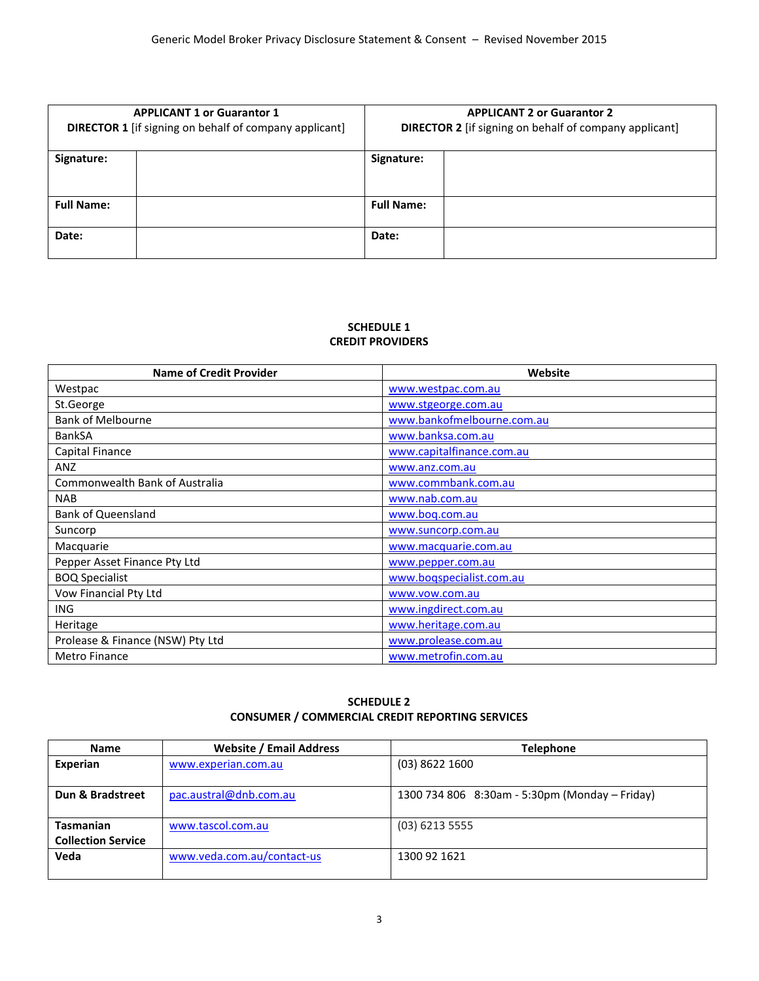| <b>APPLICANT 1 or Guarantor 1</b><br><b>DIRECTOR 1</b> [if signing on behalf of company applicant] |  | <b>APPLICANT 2 or Guarantor 2</b><br><b>DIRECTOR 2</b> [if signing on behalf of company applicant] |  |
|----------------------------------------------------------------------------------------------------|--|----------------------------------------------------------------------------------------------------|--|
| Signature:                                                                                         |  | Signature:                                                                                         |  |
| <b>Full Name:</b>                                                                                  |  | <b>Full Name:</b>                                                                                  |  |
| Date:                                                                                              |  | Date:                                                                                              |  |

## **SCHEDULE 1 CREDIT PROVIDERS**

| <b>Name of Credit Provider</b>   | Website                    |  |
|----------------------------------|----------------------------|--|
| Westpac                          | www.westpac.com.au         |  |
| St.George                        | www.stgeorge.com.au        |  |
| Bank of Melbourne                | www.bankofmelbourne.com.au |  |
| <b>BankSA</b>                    | www.banksa.com.au          |  |
| Capital Finance                  | www.capitalfinance.com.au  |  |
| ANZ                              | www.anz.com.au             |  |
| Commonwealth Bank of Australia   | www.commbank.com.au        |  |
| <b>NAB</b>                       | www.nab.com.au             |  |
| <b>Bank of Queensland</b>        | www.boq.com.au             |  |
| Suncorp                          | www.suncorp.com.au         |  |
| Macquarie                        | www.macquarie.com.au       |  |
| Pepper Asset Finance Pty Ltd     | www.pepper.com.au          |  |
| <b>BOQ Specialist</b>            | www.boqspecialist.com.au   |  |
| Vow Financial Pty Ltd            | www.vow.com.au             |  |
| <b>ING</b>                       | www.ingdirect.com.au       |  |
| Heritage                         | www.heritage.com.au        |  |
| Prolease & Finance (NSW) Pty Ltd | www.prolease.com.au        |  |
| <b>Metro Finance</b>             | www.metrofin.com.au        |  |

# **SCHEDULE 2 CONSUMER / COMMERCIAL CREDIT REPORTING SERVICES**

| <b>Name</b>               | <b>Website / Email Address</b> | <b>Telephone</b>                               |  |
|---------------------------|--------------------------------|------------------------------------------------|--|
| Experian                  | www.experian.com.au            | $(03)$ 8622 1600                               |  |
|                           |                                |                                                |  |
| Dun & Bradstreet          | pac.austral@dnb.com.au         | 1300 734 806 8:30am - 5:30pm (Monday – Friday) |  |
|                           |                                |                                                |  |
| <b>Tasmanian</b>          | www.tascol.com.au              | $(03)$ 6213 5555                               |  |
| <b>Collection Service</b> |                                |                                                |  |
| Veda                      | www.veda.com.au/contact-us     | 1300 92 1621                                   |  |
|                           |                                |                                                |  |